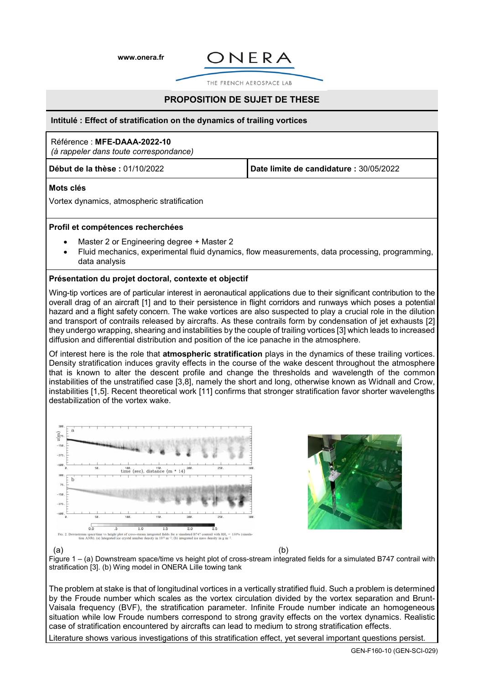**[www.onera.fr](http://www.onera.fr/)**



THE FRENCH AEROSPACE LAB

# **PROPOSITION DE SUJET DE THESE**

#### **Intitulé : Effect of stratification on the dynamics of trailing vortices**

## Référence : **MFE-DAAA-2022-10**

*(à rappeler dans toute correspondance)*

**Début de la thèse :** 01/10/2022 **Date limite de candidature :** 30/05/2022

## **Mots clés**

Vortex dynamics, atmospheric stratification

### **Profil et compétences recherchées**

- Master 2 or Engineering degree + Master 2
- Fluid mechanics, experimental fluid dynamics, flow measurements, data processing, programming, data analysis

### **Présentation du projet doctoral, contexte et objectif**

Wing-tip vortices are of particular interest in aeronautical applications due to their significant contribution to the overall drag of an aircraft [1] and to their persistence in flight corridors and runways which poses a potential hazard and a flight safety concern. The wake vortices are also suspected to play a crucial role in the dilution and transport of contrails released by aircrafts. As these contrails form by condensation of jet exhausts [2] they undergo wrapping, shearing and instabilities by the couple of trailing vortices [3] which leads to increased diffusion and differential distribution and position of the ice panache in the atmosphere.

Of interest here is the role that **atmospheric stratification** plays in the dynamics of these trailing vortices. Density stratification induces gravity effects in the course of the wake descent throughout the atmosphere that is known to alter the descent profile and change the thresholds and wavelength of the common instabilities of the unstratified case [3,8], namely the short and long, otherwise known as Widnall and Crow, instabilities [1,5]. Recent theoretical work [11] confirms that stronger stratification favor shorter wavelengths destabilization of the vortex wake.





 $\qquad \qquad \textbf{(a)}\qquad \qquad \textbf{(b)}$ Figure 1 – (a) Downstream space/time vs height plot of cross-stream integrated fields for a simulated B747 contrail with stratification [3]. (b) Wing model in ONERA Lille towing tank

The problem at stake is that of longitudinal vortices in a vertically stratified fluid. Such a problem is determined by the Froude number which scales as the vortex circulation divided by the vortex separation and Brunt-Vaisala frequency (BVF), the stratification parameter. Infinite Froude number indicate an homogeneous situation while low Froude numbers correspond to strong gravity effects on the vortex dynamics. Realistic case of stratification encountered by aircrafts can lead to medium to strong stratification effects.

Literature shows various investigations of this stratification effect, yet several important questions persist.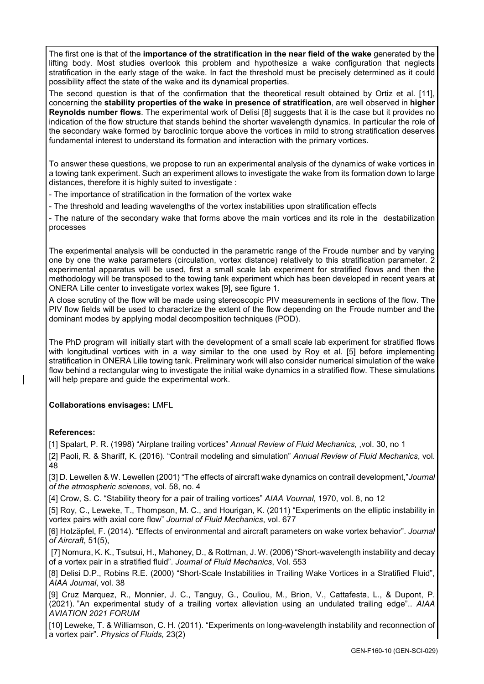The first one is that of the **importance of the stratification in the near field of the wake** generated by the lifting body. Most studies overlook this problem and hypothesize a wake configuration that neglects stratification in the early stage of the wake. In fact the threshold must be precisely determined as it could possibility affect the state of the wake and its dynamical properties.

The second question is that of the confirmation that the theoretical result obtained by Ortiz et al. [11], concerning the **stability properties of the wake in presence of stratification**, are well observed in **higher Reynolds number flows**. The experimental work of Delisi [8] suggests that it is the case but it provides no indication of the flow structure that stands behind the shorter wavelength dynamics. In particular the role of the secondary wake formed by baroclinic torque above the vortices in mild to strong stratification deserves fundamental interest to understand its formation and interaction with the primary vortices.

To answer these questions, we propose to run an experimental analysis of the dynamics of wake vortices in a towing tank experiment. Such an experiment allows to investigate the wake from its formation down to large distances, therefore it is highly suited to investigate :

- The importance of stratification in the formation of the vortex wake

- The threshold and leading wavelengths of the vortex instabilities upon stratification effects

- The nature of the secondary wake that forms above the main vortices and its role in the destabilization processes

The experimental analysis will be conducted in the parametric range of the Froude number and by varying one by one the wake parameters (circulation, vortex distance) relatively to this stratification parameter. 2 experimental apparatus will be used, first a small scale lab experiment for stratified flows and then the methodology will be transposed to the towing tank experiment which has been developed in recent years at ONERA Lille center to investigate vortex wakes [9], see figure 1.

A close scrutiny of the flow will be made using stereoscopic PIV measurements in sections of the flow. The PIV flow fields will be used to characterize the extent of the flow depending on the Froude number and the dominant modes by applying modal decomposition techniques (POD).

The PhD program will initially start with the development of a small scale lab experiment for stratified flows with longitudinal vortices with in a way similar to the one used by Roy et al. [5] before implementing stratification in ONERA Lille towing tank. Preliminary work will also consider numerical simulation of the wake flow behind a rectangular wing to investigate the initial wake dynamics in a stratified flow. These simulations will help prepare and quide the experimental work.

# **Collaborations envisages:** LMFL

## **References:**

[1] Spalart, P. R. (1998) "Airplane trailing vortices" *Annual Review of Fluid Mechanics,* ,vol. 30, no 1

[2] Paoli, R. & Shariff, K. (2016). "Contrail modeling and simulation" *Annual Review of Fluid Mechanics*, vol. 48

[3] D. Lewellen & W. Lewellen (2001) "The effects of aircraft wake dynamics on contrail development,"*Journal of the atmospheric sciences*, vol. 58, no. 4

[4] Crow, S. C. "Stability theory for a pair of trailing vortices" *AIAA Vournal*, 1970, vol. 8, no 12

[5] Roy, C., Leweke, T., Thompson, M. C., and Hourigan, K. (2011) "Experiments on the elliptic instability in vortex pairs with axial core flow" *Journal of Fluid Mechanics*, vol. 677

[6] Holzäpfel, F. (2014). "Effects of environmental and aircraft parameters on wake vortex behavior". *Journal of Aircraft*, 51(5),

[7] Nomura, K. K., Tsutsui, H., Mahoney, D., & Rottman, J. W. (2006) "Short-wavelength instability and decay of a vortex pair in a stratified fluid". *Journal of Fluid Mechanics*, Vol. 553

[8] Delisi D.P., Robins R.E. (2000) "Short-Scale Instabilities in Trailing Wake Vortices in a Stratified Fluid", *AIAA Journal*, vol. 38

[9] Cruz Marquez, R., Monnier, J. C., Tanguy, G., Couliou, M., Brion, V., Cattafesta, L., & Dupont, P. (2021). "An experimental study of a trailing vortex alleviation using an undulated trailing edge".. *AIAA AVIATION 2021 FORUM*

[10] Leweke, T. & Williamson, C. H. (2011). "Experiments on long-wavelength instability and reconnection of a vortex pair". *Physics of Fluids,* 23(2)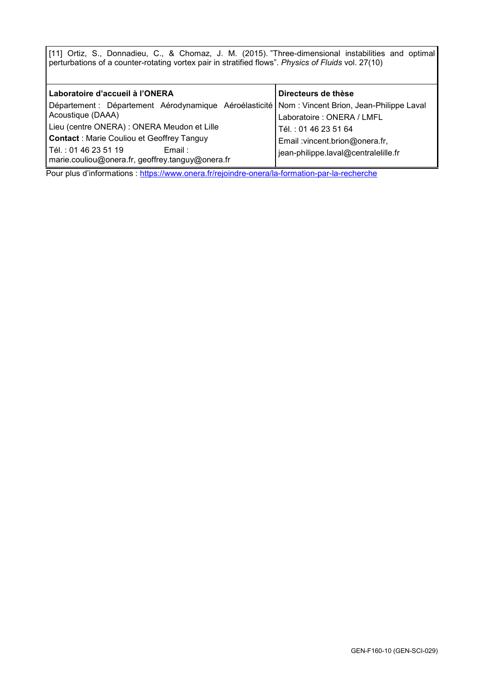[11] Ortiz, S., Donnadieu, C., & Chomaz, J. M. (2015). "Three-dimensional instabilities and optimal perturbations of a counter-rotating vortex pair in stratified flows". *Physics of Fluids* vol. 27(10)

| Laboratoire d'accueil à l'ONERA                                                                   | Directeurs de thèse                  |
|---------------------------------------------------------------------------------------------------|--------------------------------------|
| Département : Département Aérodynamique Aéroélasticité   Nom : Vincent Brion, Jean-Philippe Laval |                                      |
| Acoustique (DAAA)                                                                                 | Laboratoire : ONERA / LMFL           |
| Lieu (centre ONERA) : ONERA Meudon et Lille                                                       | Tél.: 01 46 23 51 64                 |
| <b>Contact</b> : Marie Couliou et Geoffrey Tanguy                                                 | Email : vincent.brion@onera.fr,      |
| Tél.: 01 46 23 51 19<br>Email:                                                                    | jean-philippe.laval@centralelille.fr |
| marie.couliou@onera.fr, geoffrey.tanguy@onera.fr                                                  |                                      |
| .                                                                                                 | $\mathbf{r}$<br>.                    |

Pour plus d'informations :<https://www.onera.fr/rejoindre-onera/la-formation-par-la-recherche>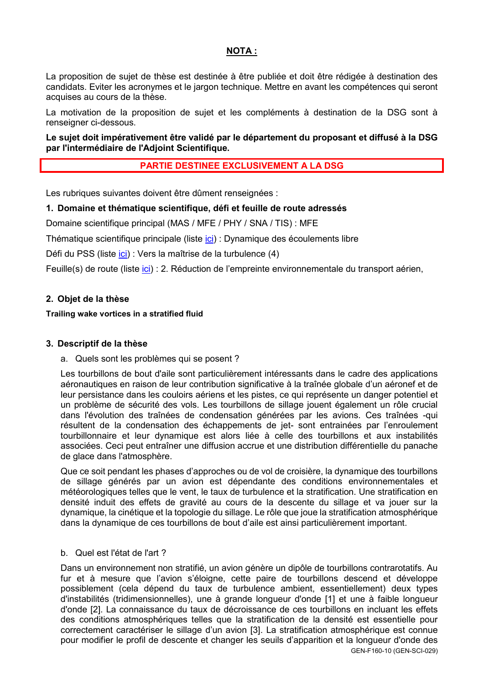# **NOTA :**

La proposition de sujet de thèse est destinée à être publiée et doit être rédigée à destination des candidats. Eviter les acronymes et le jargon technique. Mettre en avant les compétences qui seront acquises au cours de la thèse.

La motivation de la proposition de sujet et les compléments à destination de la DSG sont à renseigner ci-dessous.

**Le sujet doit impérativement être validé par le département du proposant et diffusé à la DSG par l'intermédiaire de l'Adjoint Scientifique.**

# **PARTIE DESTINEE EXCLUSIVEMENT A LA DSG**

Les rubriques suivantes doivent être dûment renseignées :

## **1. Domaine et thématique scientifique, défi et feuille de route adressés**

Domaine scientifique principal (MAS / MFE / PHY / SNA / TIS) : MFE

Thématique scientifique principale (liste [ici\)](https://iris.onera.net/DSG/thematiques_scientifiques) : Dynamique des écoulements libre

Défi du PSS (liste [ici\)](https://iris.onera.net/DSG/PSS_2015-2025) : Vers la maîtrise de la turbulence (4)

Feuille(s) de route (liste *ici*) : 2. Réduction de l'empreinte environnementale du transport aérien,

## **2. Objet de la thèse**

## **Trailing wake vortices in a stratified fluid**

## **3. Descriptif de la thèse**

a. Quels sont les problèmes qui se posent ?

Les tourbillons de bout d'aile sont particulièrement intéressants dans le cadre des applications aéronautiques en raison de leur contribution significative à la traînée globale d'un aéronef et de leur persistance dans les couloirs aériens et les pistes, ce qui représente un danger potentiel et un problème de sécurité des vols. Les tourbillons de sillage jouent également un rôle crucial dans l'évolution des traînées de condensation générées par les avions. Ces traînées -qui résultent de la condensation des échappements de jet- sont entrainées par l'enroulement tourbillonnaire et leur dynamique est alors liée à celle des tourbillons et aux instabilités associées. Ceci peut entraîner une diffusion accrue et une distribution différentielle du panache de glace dans l'atmosphère.

Que ce soit pendant les phases d'approches ou de vol de croisière, la dynamique des tourbillons de sillage générés par un avion est dépendante des conditions environnementales et météorologiques telles que le vent, le taux de turbulence et la stratification. Une stratification en densité induit des effets de gravité au cours de la descente du sillage et va jouer sur la dynamique, la cinétique et la topologie du sillage. Le rôle que joue la stratification atmosphérique dans la dynamique de ces tourbillons de bout d'aile est ainsi particulièrement important.

## b. Quel est l'état de l'art ?

GEN-F160-10 (GEN-SCI-029) Dans un environnement non stratifié, un avion génère un dipôle de tourbillons contrarotatifs. Au fur et à mesure que l'avion s'éloigne, cette paire de tourbillons descend et développe possiblement (cela dépend du taux de turbulence ambient, essentiellement) deux types d'instabilités (tridimensionnelles), une à grande longueur d'onde [1] et une à faible longueur d'onde [2]. La connaissance du taux de décroissance de ces tourbillons en incluant les effets des conditions atmosphériques telles que la stratification de la densité est essentielle pour correctement caractériser le sillage d'un avion [3]. La stratification atmosphérique est connue pour modifier le profil de descente et changer les seuils d'apparition et la longueur d'onde des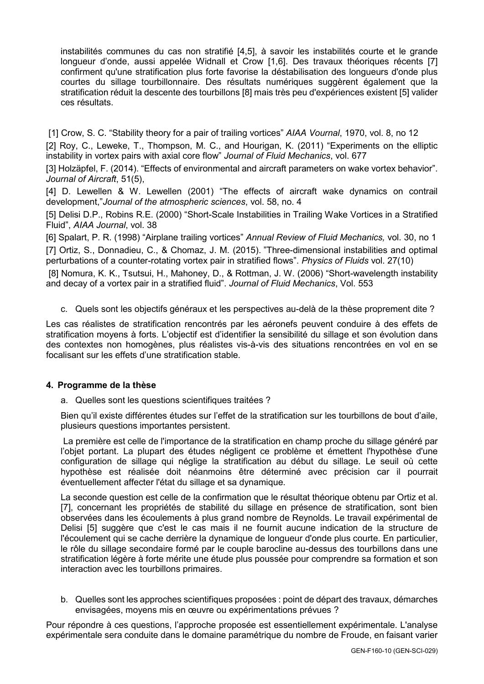instabilités communes du cas non stratifié [4,5], à savoir les instabilités courte et le grande longueur d'onde, aussi appelée Widnall et Crow [1,6]. Des travaux théoriques récents [7] confirment qu'une stratification plus forte favorise la déstabilisation des longueurs d'onde plus courtes du sillage tourbillonnaire. Des résultats numériques suggèrent également que la stratification réduit la descente des tourbillons [8] mais très peu d'expériences existent [5] valider ces résultats.

[1] Crow, S. C. "Stability theory for a pair of trailing vortices" *AIAA Vournal*, 1970, vol. 8, no 12

[2] Roy, C., Leweke, T., Thompson, M. C., and Hourigan, K. (2011) "Experiments on the elliptic instability in vortex pairs with axial core flow" *Journal of Fluid Mechanics*, vol. 677

[3] Holzäpfel, F. (2014). "Effects of environmental and aircraft parameters on wake vortex behavior". *Journal of Aircraft*, 51(5),

[4] D. Lewellen & W. Lewellen (2001) "The effects of aircraft wake dynamics on contrail development,"*Journal of the atmospheric sciences*, vol. 58, no. 4

[5] Delisi D.P., Robins R.E. (2000) "Short-Scale Instabilities in Trailing Wake Vortices in a Stratified Fluid", *AIAA Journal*, vol. 38

[6] Spalart, P. R. (1998) "Airplane trailing vortices" *Annual Review of Fluid Mechanics,* vol. 30, no 1 [7] Ortiz, S., Donnadieu, C., & Chomaz, J. M. (2015). "Three-dimensional instabilities and optimal perturbations of a counter-rotating vortex pair in stratified flows". *Physics of Fluids* vol. 27(10)

[8] Nomura, K. K., Tsutsui, H., Mahoney, D., & Rottman, J. W. (2006) "Short-wavelength instability and decay of a vortex pair in a stratified fluid". *Journal of Fluid Mechanics*, Vol. 553

c. Quels sont les objectifs généraux et les perspectives au-delà de la thèse proprement dite ?

Les cas réalistes de stratification rencontrés par les aéronefs peuvent conduire à des effets de stratification moyens à forts. L'objectif est d'identifier la sensibilité du sillage et son évolution dans des contextes non homogènes, plus réalistes vis-à-vis des situations rencontrées en vol en se focalisant sur les effets d'une stratification stable.

# **4. Programme de la thèse**

a. Quelles sont les questions scientifiques traitées ?

Bien qu'il existe différentes études sur l'effet de la stratification sur les tourbillons de bout d'aile, plusieurs questions importantes persistent.

La première est celle de l'importance de la stratification en champ proche du sillage généré par l'obiet portant. La plupart des études négligent ce problème et émettent l'hypothèse d'une configuration de sillage qui néglige la stratification au début du sillage. Le seuil où cette hypothèse est réalisée doit néanmoins être déterminé avec précision car il pourrait éventuellement affecter l'état du sillage et sa dynamique.

La seconde question est celle de la confirmation que le résultat théorique obtenu par Ortiz et al. [7], concernant les propriétés de stabilité du sillage en présence de stratification, sont bien observées dans les écoulements à plus grand nombre de Reynolds. Le travail expérimental de Delisi [5] suggère que c'est le cas mais il ne fournit aucune indication de la structure de l'écoulement qui se cache derrière la dynamique de longueur d'onde plus courte. En particulier, le rôle du sillage secondaire formé par le couple barocline au-dessus des tourbillons dans une stratification légère à forte mérite une étude plus poussée pour comprendre sa formation et son interaction avec les tourbillons primaires.

b. Quelles sont les approches scientifiques proposées : point de départ des travaux, démarches envisagées, moyens mis en œuvre ou expérimentations prévues ?

Pour répondre à ces questions, l'approche proposée est essentiellement expérimentale. L'analyse expérimentale sera conduite dans le domaine paramétrique du nombre de Froude, en faisant varier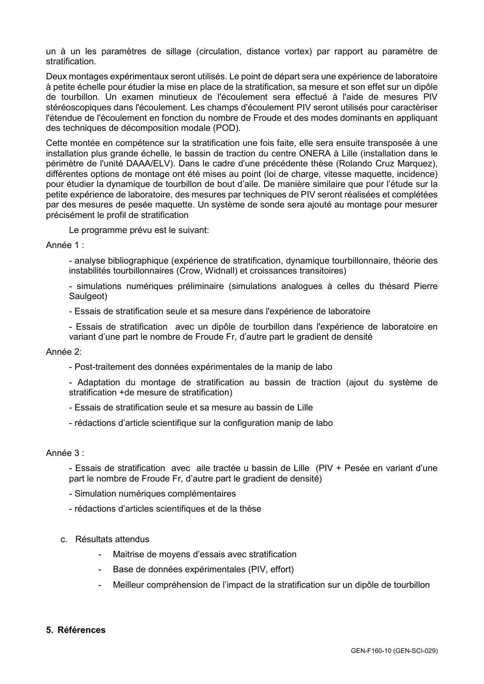un à un les paramètres de sillage (circulation, distance vortex) par rapport au paramètre de stratification.

Deux montages expérimentaux seront utilisés. Le point de départ sera une expérience de laboratoire à petite échelle pour étudier la mise en place de la stratification, sa mesure et son effet sur un dipôle de tourbillon. Un examen minutieux de l'écoulement sera effectué à l'aide de mesures PIV stéréoscopiques dans l'écoulement. Les champs d'écoulement PIV seront utilisés pour caractériser l'étendue de l'écoulement en fonction du nombre de Froude et des modes dominants en appliquant des techniques de décomposition modale (POD).

Cette montée en compétence sur la stratification une fois faite, elle sera ensuite transposée à une installation plus grande échelle, le bassin de traction du centre ONERA à Lille (installation dans le périmètre de l'unité DAAA/ELV). Dans le cadre d'une précédente thèse (Rolando Cruz Marquez), différentes options de montage ont été mises au point (loi de charge, vitesse maquette, incidence) pour étudier la dynamique de tourbillon de bout d'aile. De manière similaire que pour l'étude sur la petite expérience de laboratoire, des mesures par techniques de PIV seront réalisées et complétées par des mesures de pesée maquette. Un système de sonde sera ajouté au montage pour mesurer précisément le profil de stratification

Le programme prévu est le suivant:

Année 1 :

- analyse bibliographique (expérience de stratification, dynamique tourbillonnaire, théorie des instabilités tourbillonnaires (Crow, Widnall) et croissances transitoires)

- simulations numériques préliminaire (simulations analogues à celles du thésard Pierre Saulgeot)

- Essais de stratification seule et sa mesure dans l'expérience de laboratoire

- Essais de stratification avec un dipôle de tourbillon dans l'expérience de laboratoire en variant d'une part le nombre de Froude Fr, d'autre part le gradient de densité

### Année 2:

- Post-traitement des données expérimentales de la manip de labo
- Adaptation du montage de stratification au bassin de traction (ajout du système de stratification +de mesure de stratification)
- Essais de stratification seule et sa mesure au bassin de Lille
- rédactions d'article scientifique sur la configuration manip de labo

## Année 3 :

- Essais de stratification avec aile tractée u bassin de Lille (PIV + Pesée en variant d'une part le nombre de Froude Fr, d'autre part le gradient de densité)

- Simulation numériques complémentaires
- rédactions d'articles scientifiques et de la thèse
- c. Résultats attendus
	- Maitrise de moyens d'essais avec stratification
	- Base de données expérimentales (PIV, effort)
	- Meilleur compréhension de l'impact de la stratification sur un dipôle de tourbillon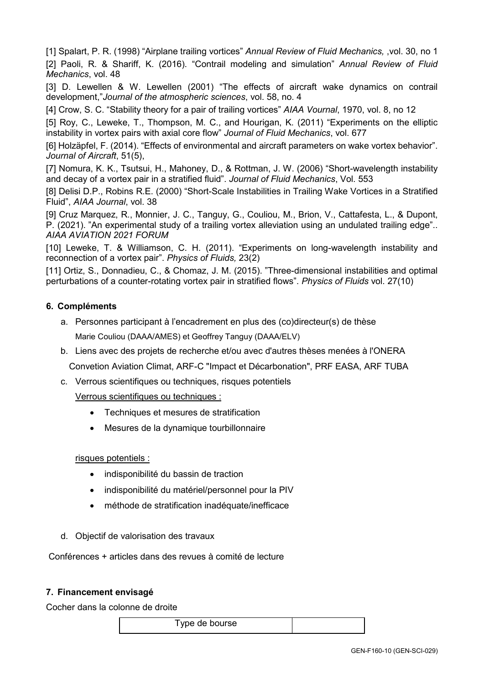[1] Spalart, P. R. (1998) "Airplane trailing vortices" *Annual Review of Fluid Mechanics,* ,vol. 30, no 1 [2] Paoli, R. & Shariff, K. (2016). "Contrail modeling and simulation" *Annual Review of Fluid Mechanics*, vol. 48

[3] D. Lewellen & W. Lewellen (2001) "The effects of aircraft wake dynamics on contrail development,"*Journal of the atmospheric sciences*, vol. 58, no. 4

[4] Crow, S. C. "Stability theory for a pair of trailing vortices" *AIAA Vournal*, 1970, vol. 8, no 12

[5] Roy, C., Leweke, T., Thompson, M. C., and Hourigan, K. (2011) "Experiments on the elliptic instability in vortex pairs with axial core flow" *Journal of Fluid Mechanics*, vol. 677

[6] Holzäpfel, F. (2014). "Effects of environmental and aircraft parameters on wake vortex behavior". *Journal of Aircraft*, 51(5),

[7] Nomura, K. K., Tsutsui, H., Mahoney, D., & Rottman, J. W. (2006) "Short-wavelength instability and decay of a vortex pair in a stratified fluid". *Journal of Fluid Mechanics*, Vol. 553

[8] Delisi D.P., Robins R.E. (2000) "Short-Scale Instabilities in Trailing Wake Vortices in a Stratified Fluid", *AIAA Journal*, vol. 38

[9] Cruz Marquez, R., Monnier, J. C., Tanguy, G., Couliou, M., Brion, V., Cattafesta, L., & Dupont, P. (2021). "An experimental study of a trailing vortex alleviation using an undulated trailing edge".. *AIAA AVIATION 2021 FORUM*

[10] Leweke, T. & Williamson, C. H. (2011). "Experiments on long-wavelength instability and reconnection of a vortex pair". *Physics of Fluids,* 23(2)

[11] Ortiz, S., Donnadieu, C., & Chomaz, J. M. (2015). "Three-dimensional instabilities and optimal perturbations of a counter-rotating vortex pair in stratified flows". *Physics of Fluids* vol. 27(10)

# **6. Compléments**

- a. Personnes participant à l'encadrement en plus des (co)directeur(s) de thèse Marie Couliou (DAAA/AMES) et Geoffrey Tanguy (DAAA/ELV)
- b. Liens avec des projets de recherche et/ou avec d'autres thèses menées à l'ONERA Convetion Aviation Climat, ARF-C "Impact et Décarbonation", PRF EASA, ARF TUBA
- c. Verrous scientifiques ou techniques, risques potentiels

Verrous scientifiques ou techniques :

- Techniques et mesures de stratification
- Mesures de la dynamique tourbillonnaire

# risques potentiels :

- indisponibilité du bassin de traction
- indisponibilité du matériel/personnel pour la PIV
- méthode de stratification inadéquate/inefficace
- d. Objectif de valorisation des travaux

Conférences + articles dans des revues à comité de lecture

# **7. Financement envisagé**

Cocher dans la colonne de droite

Type de bourse